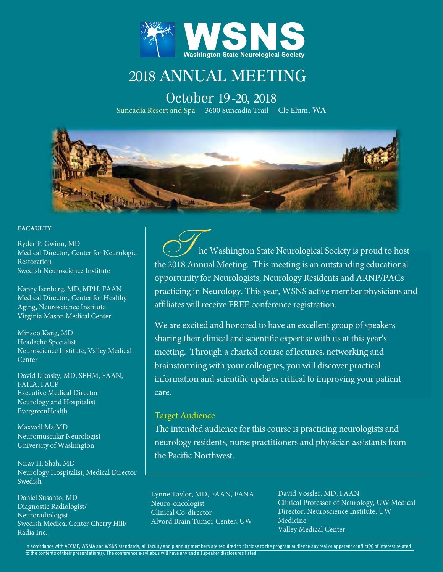

# 2018 ANNUAL MEETING

October 19-20, 2018 Suncadia Resort and Spa | 3600 Suncadia Trail | Cle Elum, WA



#### FACAULTY

Ryder P. Gwinn, MD Medical Director, Center for Neurologic Restoration Swedish Neuroscience Institute

Nancy Isenberg, MD, MPH, FAAN Medical Director, Center for Healthy Aging, Neuroscience Institute Virginia Mason Medical Center

Minsoo Kang, MD Headache Specialist Neuroscience Institute, Valley Medical Center

David Likosky, MD, SFHM, FAAN, FAHA, FACP Executive Medical Director Neurology and Hospitalist EvergreenHealth

Maxwell Ma,MD Neuromuscular Neurologist University of Washington

Nirav H. Shah, MD Neurology Hospitalist, Medical Director Swedish

Daniel Susanto, MD Diagnostic Radiologist/ Neuroradiologist Swedish Medical Center Cherry Hill/ Radia Inc.

 he Washington State Neurological Society is proud to host the 2018 Annual Meeting. This meeting is an outstanding educational opportunity for Neurologists, Neurology Residents and ARNP/PACs practicing in Neurology. This year, WSNS active member physicians and affiliates will receive FREE conference registration.

We are excited and honored to have an excellent group of speakers sharing their clinical and scientific expertise with us at this year's meeting. Through a charted course of lectures, networking and brainstorming with your colleagues, you will discover practical information and scientific updates critical to improving your patient care.

#### Target Audience

The intended audience for this course is practicing neurologists and neurology residents, nurse practitioners and physician assistants from the Pacific Northwest.

Lynne Taylor, MD, FAAN, FANA Neuro-oncologist Clinical Co-director Alvord Brain Tumor Center, UW

David Vossler, MD, FAAN Clinical Professor of Neurology, UW Medical Director, Neuroscience Institute, UW Medicine Valley Medical Center

In accordance with ACCME, WSMA and WSNS standards, all faculty and planning members are required to disclose to the program audience any real or apparent conflict(s) of interest related to the contents of their presentation(s). The conference e-syllabus will have any and all speaker disclosures listed.